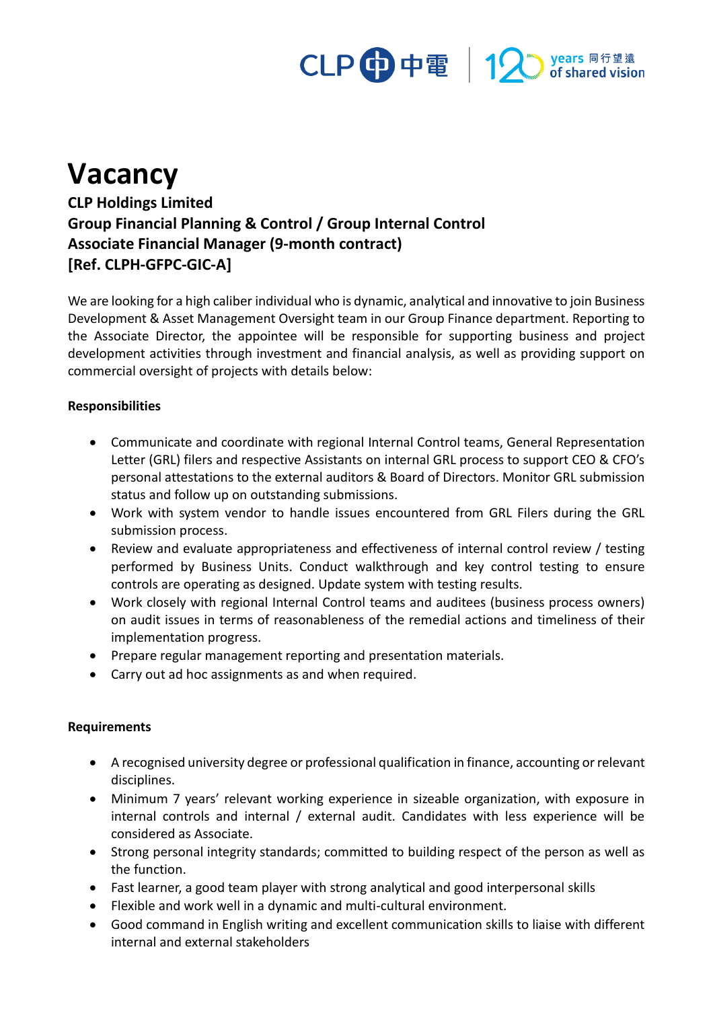# CLP 中電 | 12 Myears 同行望遠

## **Vacancy**

**CLP Holdings Limited Group Financial Planning & Control / Group Internal Control Associate Financial Manager (9-month contract) [Ref. CLPH-GFPC-GIC-A]**

We are looking for a high caliber individual who is dynamic, analytical and innovative to join Business Development & Asset Management Oversight team in our Group Finance department. Reporting to the Associate Director, the appointee will be responsible for supporting business and project development activities through investment and financial analysis, as well as providing support on commercial oversight of projects with details below:

### **Responsibilities**

- Communicate and coordinate with regional Internal Control teams, General Representation Letter (GRL) filers and respective Assistants on internal GRL process to support CEO & CFO's personal attestations to the external auditors & Board of Directors. Monitor GRL submission status and follow up on outstanding submissions.
- Work with system vendor to handle issues encountered from GRL Filers during the GRL submission process.
- Review and evaluate appropriateness and effectiveness of internal control review / testing performed by Business Units. Conduct walkthrough and key control testing to ensure controls are operating as designed. Update system with testing results.
- Work closely with regional Internal Control teams and auditees (business process owners) on audit issues in terms of reasonableness of the remedial actions and timeliness of their implementation progress.
- Prepare regular management reporting and presentation materials.
- Carry out ad hoc assignments as and when required.

### **Requirements**

- A recognised university degree or professional qualification in finance, accounting or relevant disciplines.
- Minimum 7 years' relevant working experience in sizeable organization, with exposure in internal controls and internal / external audit. Candidates with less experience will be considered as Associate.
- Strong personal integrity standards; committed to building respect of the person as well as the function.
- Fast learner, a good team player with strong analytical and good interpersonal skills
- Flexible and work well in a dynamic and multi-cultural environment.
- Good command in English writing and excellent communication skills to liaise with different internal and external stakeholders